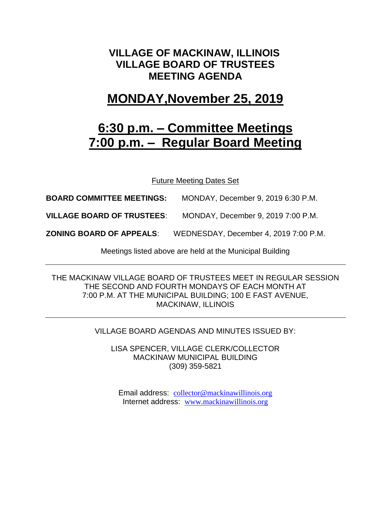### **VILLAGE OF MACKINAW, ILLINOIS VILLAGE BOARD OF TRUSTEES MEETING AGENDA**

## **MONDAY,November 25, 2019**

# **6:30 p.m. – Committee Meetings 7:00 p.m. – Regular Board Meeting**

Future Meeting Dates Set

**BOARD COMMITTEE MEETINGS:** MONDAY, December 9, 2019 6:30 P.M.

**VILLAGE BOARD OF TRUSTEES**: MONDAY, December 9, 2019 7:00 P.M.

**ZONING BOARD OF APPEALS**: WEDNESDAY, December 4, 2019 7:00 P.M.

Meetings listed above are held at the Municipal Building

THE MACKINAW VILLAGE BOARD OF TRUSTEES MEET IN REGULAR SESSION THE SECOND AND FOURTH MONDAYS OF EACH MONTH AT 7:00 P.M. AT THE MUNICIPAL BUILDING; 100 E FAST AVENUE, MACKINAW, ILLINOIS

VILLAGE BOARD AGENDAS AND MINUTES ISSUED BY:

LISA SPENCER, VILLAGE CLERK/COLLECTOR MACKINAW MUNICIPAL BUILDING (309) 359-5821

Email address: [collector@mackinawillinois.org](mailto:collector@mackinawillinois.org) Internet address: [www.mackinawillinois.org](http://www.mackinawillinois.org/)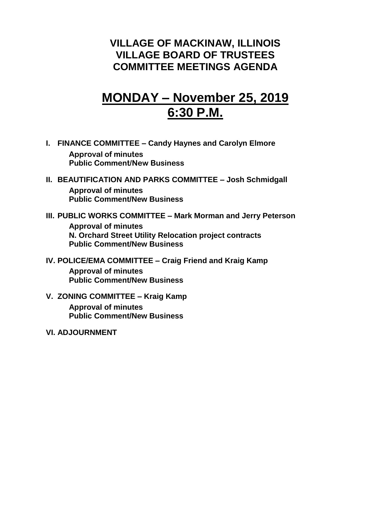### **VILLAGE OF MACKINAW, ILLINOIS VILLAGE BOARD OF TRUSTEES COMMITTEE MEETINGS AGENDA**

# **MONDAY – November 25, 2019 6:30 P.M.**

- **I. FINANCE COMMITTEE – Candy Haynes and Carolyn Elmore Approval of minutes Public Comment/New Business**
- **II. BEAUTIFICATION AND PARKS COMMITTEE – Josh Schmidgall Approval of minutes Public Comment/New Business**
- **III. PUBLIC WORKS COMMITTEE – Mark Morman and Jerry Peterson Approval of minutes N. Orchard Street Utility Relocation project contracts Public Comment/New Business**
- **IV. POLICE/EMA COMMITTEE – Craig Friend and Kraig Kamp**

**Approval of minutes Public Comment/New Business**

**V. ZONING COMMITTEE – Kraig Kamp**

**Approval of minutes Public Comment/New Business**

**VI. ADJOURNMENT**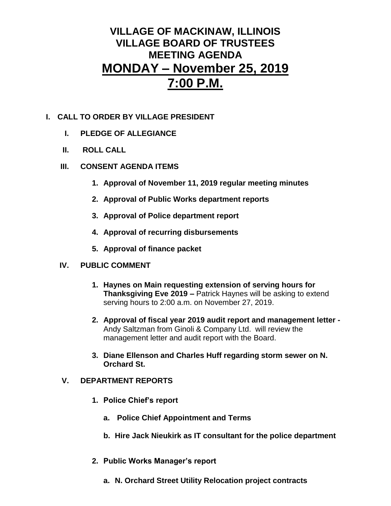## **VILLAGE OF MACKINAW, ILLINOIS VILLAGE BOARD OF TRUSTEES MEETING AGENDA MONDAY – November 25, 2019 7:00 P.M.**

### **I. CALL TO ORDER BY VILLAGE PRESIDENT**

- **I. PLEDGE OF ALLEGIANCE**
- **II. ROLL CALL**
- **III. CONSENT AGENDA ITEMS** 
	- **1. Approval of November 11, 2019 regular meeting minutes**
	- **2. Approval of Public Works department reports**
	- **3. Approval of Police department report**
	- **4. Approval of recurring disbursements**
	- **5. Approval of finance packet**

#### **IV. PUBLIC COMMENT**

- **1. Haynes on Main requesting extension of serving hours for Thanksgiving Eve 2019 –** Patrick Haynes will be asking to extend serving hours to 2:00 a.m. on November 27, 2019.
- **2. Approval of fiscal year 2019 audit report and management letter -** Andy Saltzman from Ginoli & Company Ltd. will review the management letter and audit report with the Board.
- **3. Diane Ellenson and Charles Huff regarding storm sewer on N. Orchard St.**

### **V. DEPARTMENT REPORTS**

- **1. Police Chief's report**
	- **a. Police Chief Appointment and Terms**
	- **b. Hire Jack Nieukirk as IT consultant for the police department**
- **2. Public Works Manager's report**
	- **a. N. Orchard Street Utility Relocation project contracts**